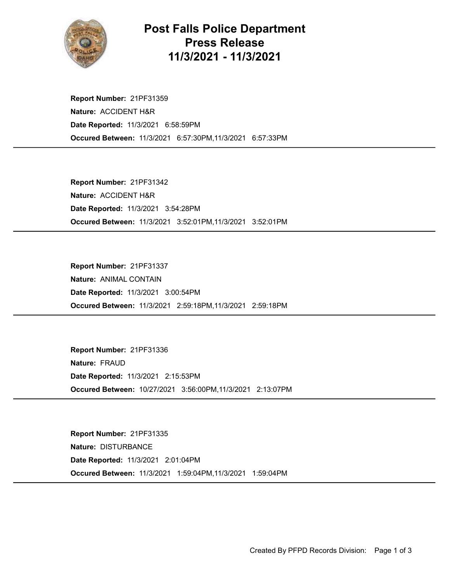

## Post Falls Police Department Press Release 11/3/2021 - 11/3/2021

Occured Between: 11/3/2021 6:57:30PM,11/3/2021 6:57:33PM Report Number: 21PF31359 Nature: ACCIDENT H&R Date Reported: 11/3/2021 6:58:59PM

Occured Between: 11/3/2021 3:52:01PM,11/3/2021 3:52:01PM Report Number: 21PF31342 Nature: ACCIDENT H&R Date Reported: 11/3/2021 3:54:28PM

Occured Between: 11/3/2021 2:59:18PM,11/3/2021 2:59:18PM Report Number: 21PF31337 Nature: ANIMAL CONTAIN Date Reported: 11/3/2021 3:00:54PM

Occured Between: 10/27/2021 3:56:00PM,11/3/2021 2:13:07PM Report Number: 21PF31336 Nature: FRAUD Date Reported: 11/3/2021 2:15:53PM

Occured Between: 11/3/2021 1:59:04PM,11/3/2021 1:59:04PM Report Number: 21PF31335 Nature: DISTURBANCE Date Reported: 11/3/2021 2:01:04PM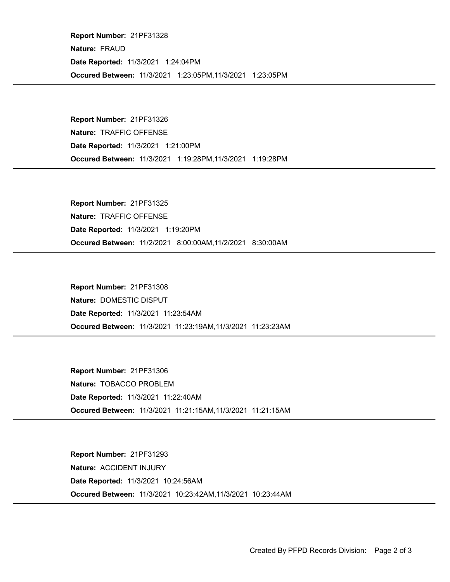Occured Between: 11/3/2021 1:23:05PM,11/3/2021 1:23:05PM Report Number: 21PF31328 Nature: FRAUD Date Reported: 11/3/2021 1:24:04PM

Occured Between: 11/3/2021 1:19:28PM,11/3/2021 1:19:28PM Report Number: 21PF31326 Nature: TRAFFIC OFFENSE Date Reported: 11/3/2021 1:21:00PM

Occured Between: 11/2/2021 8:00:00AM,11/2/2021 8:30:00AM Report Number: 21PF31325 Nature: TRAFFIC OFFENSE Date Reported: 11/3/2021 1:19:20PM

Occured Between: 11/3/2021 11:23:19AM,11/3/2021 11:23:23AM Report Number: 21PF31308 Nature: DOMESTIC DISPUT Date Reported: 11/3/2021 11:23:54AM

Occured Between: 11/3/2021 11:21:15AM,11/3/2021 11:21:15AM Report Number: 21PF31306 Nature: TOBACCO PROBLEM Date Reported: 11/3/2021 11:22:40AM

Occured Between: 11/3/2021 10:23:42AM,11/3/2021 10:23:44AM Report Number: 21PF31293 Nature: ACCIDENT INJURY Date Reported: 11/3/2021 10:24:56AM